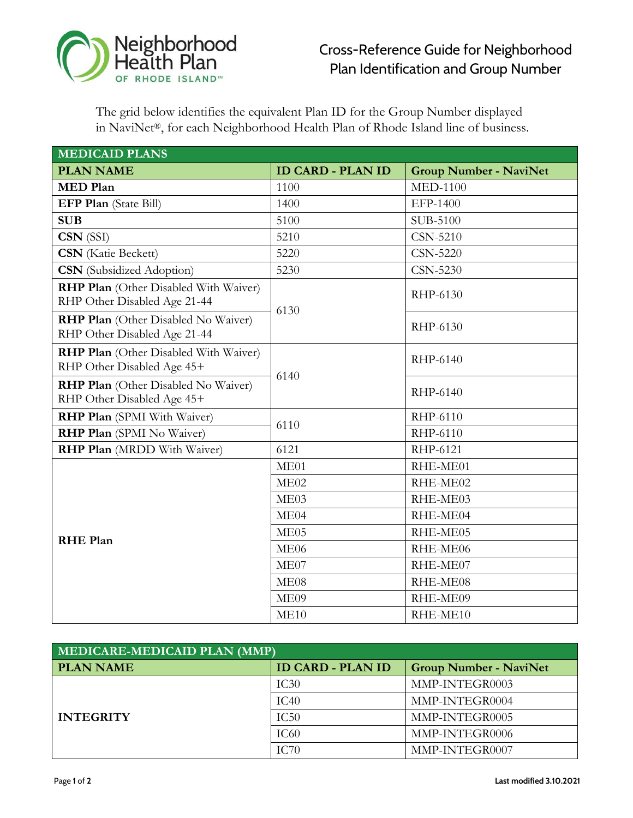

## Cross-Reference Guide for Neighborhood Plan Identification and Group Number

The grid below identifies the equivalent Plan ID for the Group Number displayed in NaviNet®, for each Neighborhood Health Plan of Rhode Island line of business.

| <b>MEDICAID PLANS</b>                                                      |                          |                               |  |  |  |  |
|----------------------------------------------------------------------------|--------------------------|-------------------------------|--|--|--|--|
| <b>PLAN NAME</b>                                                           | <b>ID CARD - PLAN ID</b> | <b>Group Number - NaviNet</b> |  |  |  |  |
| <b>MED Plan</b>                                                            | 1100                     | <b>MED-1100</b>               |  |  |  |  |
| EFP Plan (State Bill)                                                      | 1400                     | EFP-1400                      |  |  |  |  |
| <b>SUB</b>                                                                 | 5100                     | SUB-5100                      |  |  |  |  |
| CSN (SSI)                                                                  | 5210                     | <b>CSN-5210</b>               |  |  |  |  |
| <b>CSN</b> (Katie Beckett)                                                 | 5220                     | <b>CSN-5220</b>               |  |  |  |  |
| <b>CSN</b> (Subsidized Adoption)                                           | 5230                     | <b>CSN-5230</b>               |  |  |  |  |
| RHP Plan (Other Disabled With Waiver)<br>RHP Other Disabled Age 21-44      | 6130                     | RHP-6130                      |  |  |  |  |
| <b>RHP Plan</b> (Other Disabled No Waiver)<br>RHP Other Disabled Age 21-44 |                          | RHP-6130                      |  |  |  |  |
| <b>RHP Plan</b> (Other Disabled With Waiver)<br>RHP Other Disabled Age 45+ | 6140                     | RHP-6140                      |  |  |  |  |
| <b>RHP Plan</b> (Other Disabled No Waiver)<br>RHP Other Disabled Age 45+   |                          | RHP-6140                      |  |  |  |  |
| RHP Plan (SPMI With Waiver)                                                | 6110                     | RHP-6110                      |  |  |  |  |
| RHP Plan (SPMI No Waiver)                                                  |                          | RHP-6110                      |  |  |  |  |
| <b>RHP Plan</b> (MRDD With Waiver)                                         | 6121                     | RHP-6121                      |  |  |  |  |
|                                                                            | ME01                     | RHE-ME01                      |  |  |  |  |
|                                                                            | ME02                     | RHE-ME02                      |  |  |  |  |
| <b>RHE Plan</b>                                                            | ME03                     | RHE-ME03                      |  |  |  |  |
|                                                                            | ME04                     | RHE-ME04                      |  |  |  |  |
|                                                                            | ME <sub>05</sub>         | RHE-ME05                      |  |  |  |  |
|                                                                            | ME <sub>06</sub>         | RHE-ME06                      |  |  |  |  |
|                                                                            | ME07                     | RHE-ME07                      |  |  |  |  |
|                                                                            | ME <sub>08</sub>         | RHE-ME08                      |  |  |  |  |
|                                                                            | ME09                     | RHE-ME09                      |  |  |  |  |
|                                                                            | ME10                     | RHE-ME10                      |  |  |  |  |

| MEDICARE-MEDICAID PLAN (MMP) |                          |                               |  |  |  |
|------------------------------|--------------------------|-------------------------------|--|--|--|
| <b>PLAN NAME</b>             | <b>ID CARD - PLAN ID</b> | <b>Group Number - NaviNet</b> |  |  |  |
|                              | IC30                     | MMP-INTEGR0003                |  |  |  |
|                              | IC40                     | MMP-INTEGR0004                |  |  |  |
| <b>INTEGRITY</b>             | IC50                     | MMP-INTEGR0005                |  |  |  |
|                              | IC <sub>60</sub>         | MMP-INTEGR0006                |  |  |  |
|                              | IC70                     | MMP-INTEGR0007                |  |  |  |